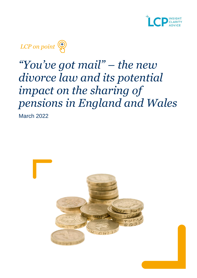



# *"You've got mail" – the new divorce law and its potential impact on the sharing of pensions in England and Wales*

March 2022

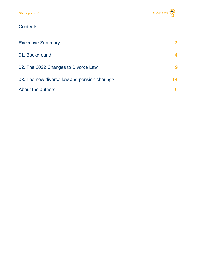### **Contents**

| <b>Executive Summary</b>                     |    |
|----------------------------------------------|----|
| 01. Background                               | 4  |
| 02. The 2022 Changes to Divorce Law          | 9  |
| 03. The new divorce law and pension sharing? | 14 |
| About the authors                            | 16 |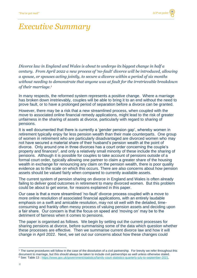### *Executive Summary*

*Divorce law in England and Wales is about to undergo its biggest change in half a century. From April 2022 a new process of 'no-fault' divorce will be introduced, allowing a spouse, or spouses acting jointly, to secure a divorce within a period of six months without needing to demonstrate that anyone was at fault for the irretrievable breakdown of their marriage.<sup>1</sup>*

In many respects, the reformed system represents a positive change. Where a marriage has broken down irretrievably, couples will be able to bring it to an end without the need to prove fault, or to have a prolonged period of separation before a divorce can be granted.

However, there may be a risk that a new streamlined process, when coupled with the move to associated online financial remedy applications, might lead to the risk of greater unfairness in the sharing of assets at divorce, particularly with regard to sharing of pensions.

It is well documented that there is currently a 'gender pension gap', whereby women in retirement typically enjoy far less pension wealth than their male counterparts. One group of women in retirement who are particularly disadvantaged are divorced women who may not have secured a material share of their husband's pension wealth at the point of divorce. Only around one in three divorces has a court order concerning the couple's property and finances<sup>2</sup>, and only a relatively small minority of these include the sharing of pensions. Although it is possible for couples to take account of pensions outside of a formal court order, typically allowing one partner to claim a greater share of the housing wealth in exchange for renouncing any claim on the pension wealth, there is poor quality evidence as to the scale on which this occurs. There are also concerns about how pension assets should be valued fairly when compared to currently available assets.

The current system of pension sharing on divorce in England and Wales is often already failing to deliver good outcomes in retirement to many divorced women. But this problem could be about to get worse, for reasons explained in this paper.

Our case is that a more streamlined 'no-fault' divorce process coupled with a move to more online resolution of associated financial applications, with an entirely laudable emphasis on a swift and amicable resolution, may not sit well with the detailed, timeconsuming and frankly often messy process of valuing pension assets and deciding upon a fair share. Our concern is that the focus on speed and 'moving on' may be to the detriment of fairness when it comes to pensions.

The paper is organised as follows. We begin by setting out the current processes for sharing pensions at divorce, before summarising some of the data which question whether these processes are effective. Then we summarise current divorce law and how it will change in April 2022. Next, we set out our concerns about how these changes could

<sup>&</sup>lt;sup>1</sup> The same procedures will follow in the case of the dissolution of a civil partnership. For brevity we refer throughout this document to marriage, but this should always be taken to include civil partnerships as well unless otherwise stated. <sup>2</sup> See: Table 13 : [https://www.gov.uk/government/statistics/family-court-statistics-quarterly-july-to-september-2021.](https://www.gov.uk/government/statistics/family-court-statistics-quarterly-july-to-september-2021)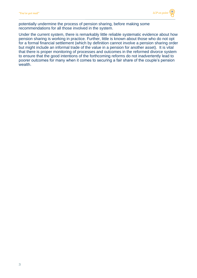

potentially undermine the process of pension sharing, before making some recommendations for all those involved in the system.

Under the current system, there is remarkably little reliable systematic evidence about how pension sharing is working in practice. Further, little is known about those who do not opt for a formal financial settlement (which by definition cannot involve a pension sharing order but might include an informal trade of the value in a pension for another asset). It is vital that there is proper monitoring of processes and outcomes in the reformed divorce system to ensure that the good intentions of the forthcoming reforms do not inadvertently lead to poorer outcomes for many when it comes to securing a fair share of the couple's pension wealth.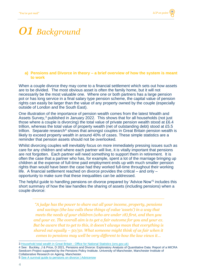# *01 Background*

#### **a) Pensions and Divorce in theory – a brief overview of how the system is meant to work**

When a couple divorce they may come to a financial settlement which sets out how assets are to be divided. The most obvious asset is often the family home, but it will not necessarily be the most valuable one. Where one or both partners has a large pension pot or has long service in a final salary type pension scheme, the capital value of pension rights can easily be larger than the value of any property owned by the couple (especially outside of London and the South East).

One illustration of the importance of pension wealth comes from the latest Wealth and Assets Survey,<sup>3</sup> published in January 2022. This shows that for all households (not just those where a couple is divorcing) the total value of private pension wealth stood at £6.4 trillion, whereas the total value of property wealth (net of outstanding debt) stood at £5.5 trillion. Separate research<sup>4</sup> shows that amongst couples in Great Britain pension wealth is likely to exceed property wealth in around 40% of cases. These simple statistics are a reminder that pension assets should not be overlooked.

Whilst divorcing couples will inevitably focus on more immediately pressing issues such as care for any children and where each partner will live, it is vitally important that pensions are not forgotten. Each partner will need something to support them in retirement. It is often the case that a partner who has, for example, spent a lot of the marriage bringing up children at the expense of full-time paid employment ends up with much smaller pension rights than would have been the case had they worked full-time throughout their working life. A financial settlement reached on divorce provides the critical – and only – opportunity to make sure that these inequalities can be addressed.

The helpful guide to handling pensions on divorce prepared by 'Advice Now'<sup>5</sup> includes this short summary of how the law handles the sharing of assets (including pensions) when a couple divorce:

*"A judge has the power to share out all your income, property, pensions and savings (the law calls these things of value 'assets') in a way that meets the needs of your children (who are under 18) first, and then you and your ex. The overall aim is to get a fair outcome for you and your ex. But be aware that to get to this, it doesn't always mean that everything is shared out equally – 50/50. What someone might think of as fair when it comes to pensions may well be very different to how the law views it…* 

5 [See A survival guide to pensions on divorce | Advicenow](https://www.advicenow.org.uk/pensions)

<sup>3</sup> Household total wealth in Great Britain - [Office for National Statistics \(ons.gov.uk\)](https://www.ons.gov.uk/peoplepopulationandcommunity/personalandhouseholdfinances/incomeandwealth/bulletins/totalwealthingreatbritain/april2018tomarch2020)

<sup>4</sup> See: [Buckley, J](https://www.research.manchester.ac.uk/portal/jennifer.buckley.html) [& Price, D](https://www.research.manchester.ac.uk/portal/debora.price.html) 2021, [Pensions and Divorce: Exploratory Analysis of Quantitative Data: Report of a MICRA](https://www.research.manchester.ac.uk/portal/en/publications/pensions-and-divorce-exploratory-analysis-of-quantitative-data(b4cadc0b-d6db-4e57-919e-a6af03e4ad47).html)  [Seedcorn Project supported by the Pensions Policy Institute.](https://www.research.manchester.ac.uk/portal/en/publications/pensions-and-divorce-exploratory-analysis-of-quantitative-data(b4cadc0b-d6db-4e57-919e-a6af03e4ad47).html) University of Manchester, Manchester Institute of Collaborative Research on Ageing, Manchester.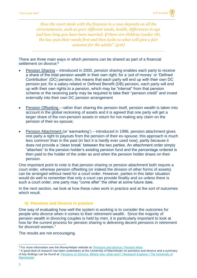*How the court deals with the finances in a case depends on all the circumstances, such as your different needs, health, differences in age and how long you have been married. If there are children (under 18), the law puts their needs first and then looks to what will give a fair outcome for the adults". (p16)*

There are three main ways in which pensions can be shared as part of a financial settlement on divorce:<sup>6</sup>

- Pension Sharing introduced in 2000, pension sharing enables each party to receive a share of the total pension wealth in their own right; for a 'pot of money' or 'Defined Contribution' (DC) pension, this means that each party will end up with their own DC pension pot; for a salary-related or Defined Benefit (DB) pension, each party will end up with their own rights to a pension, which may be "internal" from that pension scheme or the receiving party may be required to take their "pension credit" and invest externally into their own DC pension arrangement
- Pension Offsetting rather than sharing the pension itself, pension wealth is taken into account in the global reckoning of assets and it is agreed that one party will get a larger share of the non-pension assets in return for not making any claim on the pension of their ex-spouse;
- Pension Attachment (or 'earmarking') introduced in 1996, pension attachment gives one party a right to payouts from the pension of their ex-spouse; this approach is much less common than in the past (in fact it is hardly ever used now), partly because it does not provide a 'clean break' between the two parties. An attachment order simply "attaches" to the pension holder's existing pension fund and the percentage ordered is then paid to the holder of the order as and when the pension holder draws on their pension.

One important point to note is that pension sharing or pension attachment both require a court order, whereas pension offsetting (or indeed the division of other forms of assets) can be arranged without need for a court order. However, parties in this latter situation would do well to remember that only a court can provide finality and so unless there is such a court order, one party may "come after" the other at some future date.

In the next section, we look at how these rules work in practice and at the sort of outcomes which result.

#### **b) Pensions and Divorce in practice**

One way of evaluating how well the system is working is to consider the outcomes for people who divorce when it comes to their retirement wealth. Since the majority of pension wealth in divorcing couples is held by men, it is particularly important to look at how far the current process for pension sharing is delivering decent pensions in retirement for divorced women.<sup>7</sup>

The results are not encouraging.

<sup>6</sup> For more information see the MoneyHelper website at: [Pensions and divorce | Pension Wise.](https://www.pensionwise.gov.uk/en/divorce?gclsrc=aw.ds)

<sup>&</sup>lt;sup>7</sup> A good deal of research has been undertaken at the University of Manchester on pensions and divorce and a summary of key findings can be found at: Pensions on Divorce: Where now, what next? | Research Explorer | The University of **[Manchester](https://www.research.manchester.ac.uk/portal/en/publications/pensions-on-divorce-where-now-what-next(a5915595-818e-4564-8170-e3f9613f852d).html)**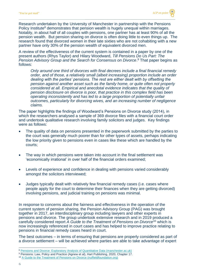Research undertaken by the University of Manchester in partnership with the Pensions Policy Institute<sup>8</sup> demonstrates that pension wealth is hugely unequal within marriages. Notably, in about half of all couples with pensions, one partner has at least 90% of all the pension wealth. But pension sharing on divorce is often doing little to even things up. The research found that divorced women in their late sixties who are not cohabiting with a new partner have only 30% of the pension wealth of equivalent divorced men.

A review of the effectiveness of the current system is contained in a paper by one of the present authors (Rhys Taylor) and Hilary Woodward, *Till Pensions Do Us Part: The Pension Advisory Group and the Search for Consensus on Divorce*. <sup>9</sup> That paper begins as follows:

*Only around one third of divorces with final decrees include a final financial remedy order, and of those, a relatively small (albeit increasing) proportion include an order dealing with the parties' pensions. The rest are either dealt with by offsetting the pension against another asset such as the family home, or quite often not properly considered at all. Empirical and anecdotal evidence indicates that the quality of pension disclosure on divorce is poor, that practice in this complex field has been operating inconsistently and has led to a large proportion of potentially unfair outcomes, particularly for divorcing wives, and an increasing number of negligence claims.*

The paper highlights the findings of Woodward's Pensions on Divorce study (2014), in which the researchers analysed a sample of 369 divorce files with a financial court order and undertook qualitative research involving family solicitors and judges. Key findings were as follows:

- The quality of data on pensions presented in the paperwork submitted by the parties to the court was generally much poorer than for other types of assets, perhaps indicating the low priority given to pensions even in cases like these which are handled by the courts;
- The way in which pensions were taken into account in the final settlement was 'economically irrational' in over half of the financial orders examined;
- Levels of experience and confidence in dealing with pensions varied considerably amongst the solicitors interviewed;
- Judges typically dealt with relatively few financial remedy cases (i.e. cases where people apply for the court to determine their finances when they are getting divorced) involving pensions, and judicial training on pensions was minimal.

In response to concerns about the fairness and effectiveness in the operation of the current system of pension sharing, the Pension Advisory Group (PAG) was brought together in 2017, an interdisciplinary group including lawyers and other experts in pensions and divorce. The group undertook extensive research and in 2019 produced a carefully considered report *A Guide to the Treatment of Pensions on Divorce*<sup>10</sup> which is now increasingly referenced in court cases and has helped to improve practice relating to pensions in financial remedy cases heard in court.

The best outcomes – in terms of ensuring that pensions are properly considered as part of a divorce settlement – will be achieved where parties are able to take advantage of expert

<sup>8</sup> [Pensions and Divorce: Exploratory Analysis of Quantitative Data \(manchester.ac.uk\)](https://www.research.manchester.ac.uk/portal/files/198615915/Pensions_and_Divorce_Exploratory_Analysis.pdf)

<sup>9</sup> Pensions: Law, Policy and Practice (Agnew et al), Hart Publishing, 2020, Chapter 17.

<sup>&</sup>lt;sup>10</sup> [A Guide to the Treatment of Pensions on Divorce \(nuffieldfoundation.org\)](https://www.nuffieldfoundation.org/sites/default/files/files/Guide_To_The_Treatment_of_Pensions_on_Divorce-Digital(1).pdf)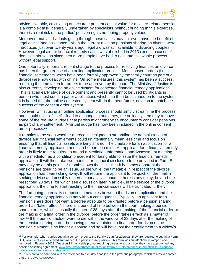advice. Notably, calculating an accurate present capital value for a salary-related pension is a complex task, generally undertaken by specialists. Without bringing in this expertise, there is a real risk of the parties' pension rights not being properly valued.

Moreover, many individuals going through these cases may not even have the benefit of legal advice and assistance. When the current rules on pensions sharing on divorce were introduced just over twenty years ago, legal aid was still available to divorcing couples. However, legal aid for financial remedy cases was abolished in 2013 except in cases of domestic abuse, so since then more people have had to navigate this whole process without legal support.

One potentially important recent change to the process for resolving finances on divorce has been the greater use of an online application process. Most consent orders (i.e. financial settlements which have been formally approved by the family court as part of a divorce) are now dealt with online. On some measures, this system has been a success, reducing the time taken for orders to be approved by the court. The Ministry of Justice is also currently developing an online system for contested financial remedy applications. This is at an early stage of development and presently cannot be used by litigants in person who must send in paper applications which can then be scanned on to the system. It is hoped that the online contested system will, in the near future, develop to match the success of the consent order system.

However, whilst using an online application process should simply streamline the process and should not – of itself – lead to a change in outcomes, the online system may remove some of the real life 'nudges' that parties might otherwise encounter to consider pensions as part of any settlement. A virtual nudge has now been included in the online consent order process.<sup>11</sup>

It remains to be seen whether a process designed to streamline the administration of divorce and financial settlements could unintentionally mean less time and focus on ensuring that all financial assets are fairly shared. The timetable for an application for a financial remedy application needs to be borne in mind. An applicant for a financial remedy order is likely to be required to attend a Mediation Information and Assessment meeting with a mediator, as a condition precedent for being able to issue the financial remedy application. It will then take two months for financial disclosure to be provided in Form E. It may only be at this point – 3 months down the line – that it becomes apparent that pensions are going to be an issue. All the while, the timetable in respect of the divorce application has been ticking away. It will require the applicant to be quick off the mark in seeking advice and possibly expert actuarial assistance. If there is any delay, beyond the prescribed 28 days (for which see discussion later in article), in the service of the divorce application, the time to start reacting to the financial issues will be truncated further.

The foregoing potentially competing timetables between the divorce application and the financial remedy application is not without consequence. Typically, an applicant for a pension share does not want a decree absolute to be granted before a pension sharing order has "taken effect." There is a period of time between the court making a pension sharing order, which is usually the later of 28 days after the making of the financial order or the making of a final order in the divorce, before the order 'takes effect' as a matter of law.<sup>12</sup> If the pension holder were to die within the window of 28 days after the making of the pension sharing order, but having already obtained a final order for divorce, the pension claimant is no longer a spouse and so will have lost their entitlement to a widow's

<sup>11</sup> For example, when parties submit a consent order to the Family Court for approval, they are required to submit a Form D81, which includes a detailed summary of the parties' asset position. This form was substantially revamped and improved in February 2022. Question 13 has a side prompt requiring parties to explain how they have approached any pension offsetting agreement. [www.gov.uk/government/publications/form-d81-statement-of-information-for-a-consent](http://www.gov.uk/government/publications/form-d81-statement-of-information-for-a-consent-order-in-relation-to-a-financial-remedy)[order-in-relation-to-a-financial-remedy](http://www.gov.uk/government/publications/form-d81-statement-of-information-for-a-consent-order-in-relation-to-a-financial-remedy)

<sup>&</sup>lt;sup>12</sup> This is not to be confused with the reference to a 28 day deadline in the previous paragraph, which relates to another part of the divorce process.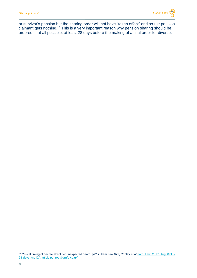or survivor's pension but the sharing order will not have "taken effect" and so the pension claimant gets nothing.<sup>13</sup> This is a very important reason why pension sharing should be ordered, if at all possible, at least 28 days before the making of a final order for divorce.

<sup>13</sup> Critical timing of decree absolute: unexpected death. [2017] Fam Law 871, Cobley *et al* [Fam\\_Law\\_2017\\_Aug\\_871\\_-](http://oakbarnfp.co.uk/wp-content/uploads/2017/10/Fam_Law_2017_Aug_871_-28-days-and-DA-article.pdf) [28-days-and-DA-article.pdf \(oakbarnfp.co.uk\)](http://oakbarnfp.co.uk/wp-content/uploads/2017/10/Fam_Law_2017_Aug_871_-28-days-and-DA-article.pdf)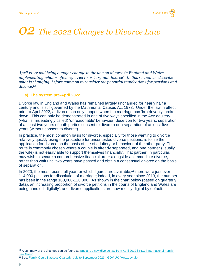# *02 The 2022 Changes to Divorce Law*

*April 2022 will bring a major change to the law on divorce in England and Wales, implementing what is often referred to as 'no-fault divorce'. In this section we describe what is changing, before going on to consider the potential implications for pensions and divorce.<sup>14</sup>*

#### **a) The system pre-April 2022**

Divorce law in England and Wales has remained largely unchanged for nearly half a century and is still governed by the Matrimonial Causes Act 1973. Under the law in effect prior to April 2022, a divorce can only happen when the marriage has 'irretrievably' broken down. This can only be demonstrated in one of five ways specified in the Act: adultery, (what is misleadingly called) 'unreasonable' behaviour, desertion for two years, separation of at least two years (if both parties consent to divorce) or a separation of at least five years (without consent to divorce).

In practice, the most common basis for divorce, especially for those wanting to divorce relatively quickly using the procedure for uncontested divorce petitions, is to file the application for divorce on the basis of the of adultery or behaviour of the other party. This route is commonly chosen where a couple is already separated, and one partner (usually the wife) is not easily able to support themselves financially. That partner, in particular, may wish to secure a comprehensive financial order alongside an immediate divorce, rather than wait until two years have passed and obtain a consensual divorce on the basis of separation.

In 2020, the most recent full year for which figures are available,<sup>15</sup> there were just over 114,000 petitions for dissolution of marriage; indeed, in every year since 2013, the number has been in the range 100,000-120,000. As shown in the chart below (based on quarterly data), an increasing proportion of divorce petitions in the courts of England and Wales are being handled 'digitally', and divorce applications are now mostly digital by default.

<sup>&</sup>lt;sup>14</sup> A summary of the changes can be found at: **England's new divorce law from April 2022** | iFLG | International Family [Law Group](https://www.iflg.uk.com/blog/englands-new-divorce-law-april-2022)

<sup>15</sup> See: [Family Court Statistics Quarterly: July to September 2021 -](https://www.gov.uk/government/statistics/family-court-statistics-quarterly-july-to-september-2021/family-court-statistics-quarterly-july-to-september-2021) GOV.UK (www.gov.uk)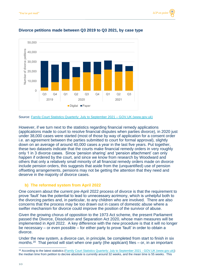

#### **Divorce petitions made between Q3 2019 to Q3 2021, by case type**

Source: [Family Court Statistics Quarterly: July to September 2021 –](https://www.gov.uk/government/statistics/family-court-statistics-quarterly-july-to-september-2021/family-court-statistics-quarterly-july-to-september-2021) GOV.UK (www.gov.uk)

However, if we turn next to the statistics regarding financial remedy applications (applications made to court to resolve financial disputes when parties divorce), in 2020 just under 38,000 cases were started (most of those by way of application for a consent order i.e. an agreement between the parties submitted to court for formal approval), slightly down on an average of around 40,000 cases a year in the last five years. Put together, these two datasets indicate that the courts make financial remedy orders in very roughly only 1 in 3 divorce cases. Since 'pension sharing' and 'pension attachment' can only happen if ordered by the court, and since we know from research by Woodward and others that only a relatively small minority of all financial remedy orders made on divorce include pension orders, this suggests that aside from the (unquantified) use of pension offsetting arrangements, pensions may not be getting the attention that they need and deserve in the majority of divorce cases.

#### **b) The reformed system from April 2022**

One concern about the current pre-April 2022 process of divorce is that the requirement to prove 'fault' has the potential to lead to unnecessary acrimony, which is unhelpful both to the divorcing parties and, in particular, to any children who are involved. There are also concerns that the process may be too drawn out in cases of domestic abuse where a swifter mechanism for divorce could improve the position of the survivor of abuse.

Given the growing chorus of opposition to the 1973 Act scheme, the present Parliament passed the Divorce, Dissolution and Separation Act 2020, whose main measures will be implemented in April 2022. A key difference with the new procedure is that it will no longer be necessary – or even possible – for either party to prove 'fault' in order to obtain a divorce.

Under the new system, a divorce can, in principle, be completed from start to finish in six months.<sup>16</sup> That period will start when one party (the applicant) files  $-$  or, in an important

<sup>&</sup>lt;sup>16</sup> According to the latest statistics [\(Family Court Statistics Quarterly: July to September 2021 -](https://www.gov.uk/government/statistics/family-court-statistics-quarterly-july-to-september-2021/family-court-statistics-quarterly-july-to-september-2021) GOV.UK (www.gov.uk)) the median time from petition to decree absolute is currently around 32 weeks, and the mean time is 55 weeks. This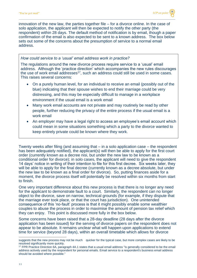innovation of the new law, the parties together file – for a divorce online. In the case of solo application, the applicant will then be expected to notify the other party (the respondent) within 28 days. The default method of notification is by email, though a paper confirmation of the email is also expected to be sent to a known address. The box below sets out some of the concerns about the presumption of service to a normal email address.

#### *How could service to a 'usual' email address work in practice?*

The regulations around the new divorce process require service to a 'usual' email address. Although the 'practice direction' which accompanies the new rules discourages the use of work email addresses<sup>17</sup>, such an address could still be used in some cases. This raises several concerns:

- On a purely human level, for an individual to receive an email (possibly out of the blue) indicating that their spouse wishes to end their marriage could be very distressing, and this may be especially difficult to manage in a workplace environment if the usual email is a work email
- Many work email accounts are not private and may routinely be read by other people, further reducing the privacy of the entire process if the usual email is a work email
- An employer may have a legal right to access an employee's email account which could mean in some situations something which a party to the divorce wanted to keep entirely private could be known where they work.

Twenty weeks after filing (and assuming that – in a solo application case – the respondent has been adequately notified), the applicant(s) will then be able to apply for the first court order (currently known as a decree nisi, but under the new law to be known as a conditional order for divorce); in solo cases, the applicant will need to give the respondent 14 days' notice in writing of their intention to file for this first decree. Six weeks later, they will be able to apply for the final decree (currently known as a decree absolute, but under the new law to be known as a final order for divorce). So, putting finances aside for a moment, the divorce process itself will potentially be resolved within six months from start to finish.

One very important difference about this new process is that there is no longer any need for the applicant to demonstrate fault to a court. Similarly, the respondent can no longer object to the divorce, save on narrow, technical grounds (for example, if they dispute that the marriage ever took place, or that the court has jurisdiction). One unintended consequence of this 'no-fault' process is that it might possibly enable some wealthier couples to abuse the process in order to maximise the amount of pension tax relief which they can enjoy. This point is discussed more fully in the box below.

Some concerns have been raised that a 28-day deadline (28 days after the divorce application has been issued) for the serving of divorce papers on the respondent does not appear to be absolute. It remains unclear what will happen upon applications to extend time for service (beyond 28 days), within an overall timetable which allows for divorce

suggests that the new process may not be much quicker for the typical case, but more complex cases are likely to be resolved significantly more quickly.

<sup>17</sup> FPR Practice Direction 6A, paragraph 4A.1 states that a usual email address "is generally considered to be the email address actively used by the respondent for personal emails. Email service to a respondent's business email address should be avoided where possible."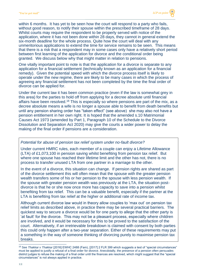within 6 months. It has yet to be seen how the court will respond to a party who fails. without good reason, to notify their spouse within the prescribed timeframe of 28 days. Whilst courts may require the respondent to be properly served with notice of the application, where it has not been done within 28 days, they cannot in general extend the six-month deadline for the whole process. Quite how the court will deal with any unmeritorious applications to extend the time for service remains to be seen. This means that there is a risk that a respondent may in some cases only have a relatively short period between first learning of the application for divorce and the conditional order being granted. We discuss below why that might matter in relation to pensions.

One vitally important point to note is that the application for a divorce is separate to any application for a financial settlement (technically known as an application for a financial remedy). Given the potential speed with which the divorce process itself is likely to operate under the new regime, there are likely to be many cases in which the process of agreeing any financial settlement has not been completed by the time the final order of divorce can be applied for.

Under the current law it has been common practice (even if the law is somewhat grey in this area) for the parties to hold off from applying for a decree absolute until financial affairs have been resolved.<sup>18</sup> This is especially so where pensions are part of the mix, as a decree absolute means a wife is no longer a spouse able to benefit from death benefits but until any pension sharing order has "taken effect" (see above) she may also not have a pension entitlement in her own right. It is hoped that the amended s.10 Matrimonial Causes Act 1973 (amended by Part 1, Paragraph 10 of the Schedule to the Divorce Dissolution and Separation Act 2020) may give the courts a wider power to delay the making of the final order if pensions are a consideration.

#### *Potential for abuse of pension tax relief system under no-fault divorce?*

Under current HMRC rules, each member of a couple can enjoy a Lifetime Allowance (LTA) of £1,073,100 in pension saving whilst benefiting from pension tax relief. But where one spouse has reached their lifetime limit and the other has not, there is no process to transfer unused LTA from one partner in a marriage to the other.

In the event of a divorce, this situation can change. If pension rights are shared as part of the divorce settlement this will often mean that the spouse with the greater pension wealth transfers some of his or her pension to the spouse with less pension wealth. If the spouse with greater pension wealth was previously at the LTA, the situation postdivorce is that he or she now once more has capacity to save into a pension whilst benefiting from tax relief. This can be a valuable benefit, especially if the partner at the LTA is benefiting from tax relief at the higher or additional rate of income tax.

Although current divorce law would in theory allow couples to 'max out' on pension tax relief limits as described above, in practice there may be several practical barriers. The quickest way to secure a divorce would be for one party to allege that the other party is 'at fault' for the divorce. This may not be a pleasant process, especially where children are involved, and it would be necessary for this to be proved to the satisfaction of the court. Alternatively, if an irretrievable breakdown is claimed with consent by both parties this could only happen after a two-year separation. Either of these requirements may put a something in the way of someone thinking of divorcing purely to maximise pension tax breaks.

<sup>18</sup> See *Thakkar v Thakkar* [2016] EWHC 2488 (Fam), [2017] 2 FLR 399 which suggests a test of "special circumstances" must be applied to justify a refusal of a final order for divorce. Anecdotally, the presence of a pension often persuades district judges to refuse the making of a final order until the finances are resolved, which might suggest that the "special circumstances" is not always applied in practice.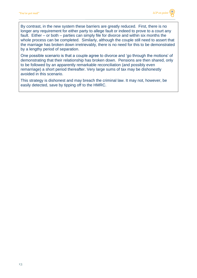

By contrast, in the new system these barriers are greatly reduced. First, there is no longer any requirement for either party to allege fault or indeed to prove to a court any fault. Either – or both – parties can simply file for divorce and within six months the whole process can be completed. Similarly, although the couple still need to assert that the marriage has broken down irretrievably, there is no need for this to be demonstrated by a lengthy period of separation.

One possible scenario is that a couple agree to divorce and 'go through the motions' of demonstrating that their relationship has broken down. Pensions are then shared, only to be followed by an apparently remarkable reconciliation (and possibly even remarriage) a short period thereafter. Very large sums of tax may be dishonestly avoided in this scenario.

This strategy is dishonest and may breach the criminal law. It may not, however, be easily detected, save by tipping off to the HMRC.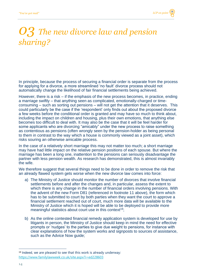## *03 The new divorce law and pension sharing?*

In principle, because the process of securing a financial order is separate from the process for applying for a divorce, a more streamlined 'no fault' divorce process should not automatically change the likelihood of fair financial settlements being achieved.

However, there is a risk – if the emphasis of the new process becomes, in practice, ending a marriage swiftly – that anything seen as complicated, emotionally-charged or timeconsuming – such as sorting out pensions – will not get the attention that it deserves. This could particularly be the case if the 'respondent' only finds out about the proposed divorce a few weeks before the conditional order is granted and may have so much to think about, including the impact on children and housing, plus their own emotions, that anything else becomes too difficult to deal with. It may also be the case that it will be feel harder for some applicants who are divorcing "amicably" under the new process to raise something as contentious as pensions (often wrongly seen by the pension-holder as being personal to them in contrast to the way which a house is commonly viewed as a joint asset), which risks souring an otherwise amicable process.

In the case of a relatively short marriage this may not matter too much; a short marriage may have had little impact on the relative pension positions of each spouse. But where the marriage has been a long one, inattention to the pensions can seriously disadvantage the partner with less pension wealth. As research has demonstrated, this is almost invariably the wife.

We therefore suggest that several things need to be done in order to remove the risk that an already flawed system gets worse when the new divorce law comes into force:

- a) The Ministry of Justice should monitor the number of divorces that involve financial settlements before and after the changes and, in particular, assess the extent to which there is any change in the number of financial orders involving pensions. With the advent of the new Form D81 (referenced in footnote 11 above), the form which has to be submitted to court by both parties when they want the court to approve a financial settlement reached out of court, much more data will be available to the Ministry of Justice which it is hoped will be able to be deployed to provide more meaningful statistics about court use in this context<sup>19</sup>;
- b) As the online contested financial remedy application system is developed for use by litigants in person, the Ministry of Justice should keep in mind the need for effective prompts or 'nudges' to the parties to give due weight to pensions, for instance with clear explanations of how the system works and signposts to sources of assistance, such as the Advice Now guide;

<sup>19</sup> Indeed, we are pleased to see that this work is already underway: <https://www.familylawweek.co.uk/site.aspx?i=ed228603>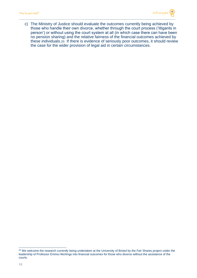c) The Ministry of Justice should evaluate the outcomes currently being achieved by those who handle their own divorce, whether through the court process ('litigants in person') or without using the court system at all (in which case there can have been no pension sharing) and the relative fairness of the financial outcomes achieved by these individuals.20 If there is evidence of seriously poor outcomes, it should review the case for the wider provision of legal aid in certain circumstances.

<sup>&</sup>lt;sup>20</sup> We welcome the research currently being undertaken at the University of Bristol by the Fair Shares project under the leadership of Professor Emma Hitchings into financial outcomes for those who divorce without the assistance of the courts.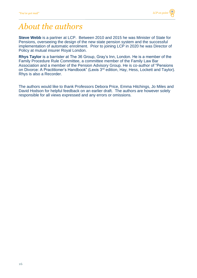### *About the authors*

**Steve Webb** is a partner at LCP. Between 2010 and 2015 he was Minister of State for Pensions, overseeing the design of the new state pension system and the successful implementation of automatic enrolment. Prior to joining LCP in 2020 he was Director of Policy at mutual insurer Royal London.

**Rhys Taylor** is a barrister at The 36 Group, Gray's Inn, London. He is a member of the Family Procedure Rule Committee, a committee member of the Family Law Bar Association and a member of the Pension Advisory Group. He is co-author of "Pensions on Divorce: A Practitioner's Handbook" (Lexis 3<sup>rd</sup> edition, Hay, Hess, Lockett and Taylor). Rhys is also a Recorder.

The authors would like to thank Professors Debora Price, Emma Hitchings, Jo Miles and David Hodson for helpful feedback on an earlier draft. The authors are however solely responsible for all views expressed and any errors or omissions.